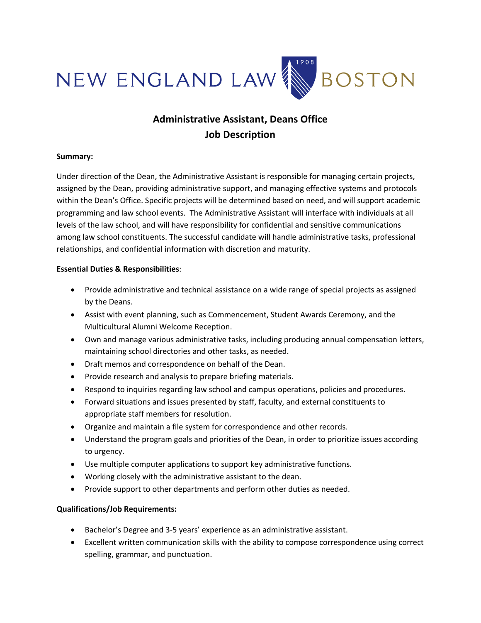

## **Administrative Assistant, Deans Office Job Description**

## **Summary:**

Under direction of the Dean, the Administrative Assistant is responsible for managing certain projects, assigned by the Dean, providing administrative support, and managing effective systems and protocols within the Dean's Office. Specific projects will be determined based on need, and will support academic programming and law school events. The Administrative Assistant will interface with individuals at all levels of the law school, and will have responsibility for confidential and sensitive communications among law school constituents. The successful candidate will handle administrative tasks, professional relationships, and confidential information with discretion and maturity.

## **Essential Duties & Responsibilities**:

- Provide administrative and technical assistance on a wide range of special projects as assigned by the Deans.
- Assist with event planning, such as Commencement, Student Awards Ceremony, and the Multicultural Alumni Welcome Reception.
- Own and manage various administrative tasks, including producing annual compensation letters, maintaining school directories and other tasks, as needed.
- Draft memos and correspondence on behalf of the Dean.
- Provide research and analysis to prepare briefing materials.
- Respond to inquiries regarding law school and campus operations, policies and procedures.
- Forward situations and issues presented by staff, faculty, and external constituents to appropriate staff members for resolution.
- Organize and maintain a file system for correspondence and other records.
- Understand the program goals and priorities of the Dean, in order to prioritize issues according to urgency.
- Use multiple computer applications to support key administrative functions.
- Working closely with the administrative assistant to the dean.
- Provide support to other departments and perform other duties as needed.

## **Qualifications/Job Requirements:**

- Bachelor's Degree and 3-5 years' experience as an administrative assistant.
- Excellent written communication skills with the ability to compose correspondence using correct spelling, grammar, and punctuation.